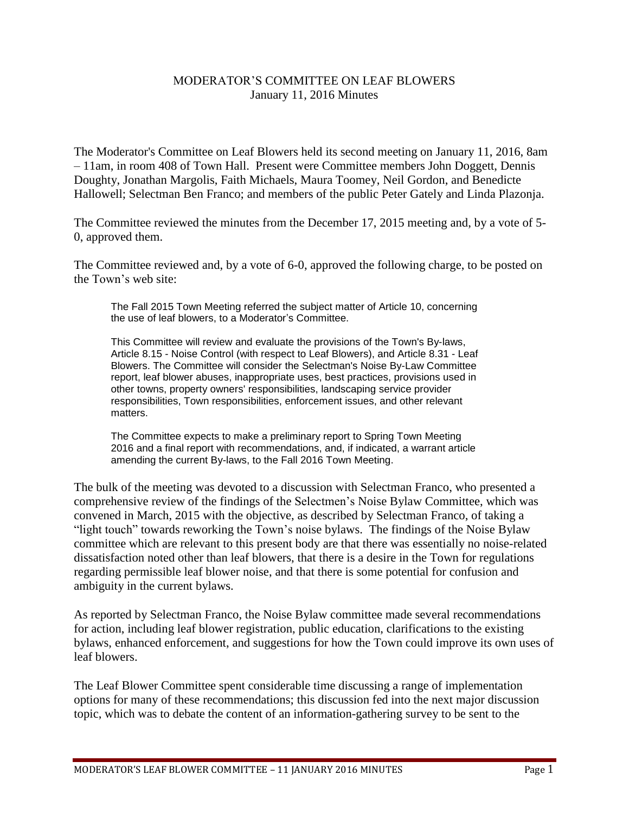## MODERATOR'S COMMITTEE ON LEAF BLOWERS January 11, 2016 Minutes

The Moderator's Committee on Leaf Blowers held its second meeting on January 11, 2016, 8am – 11am, in room 408 of Town Hall. Present were Committee members John Doggett, Dennis Doughty, Jonathan Margolis, Faith Michaels, Maura Toomey, Neil Gordon, and Benedicte Hallowell; Selectman Ben Franco; and members of the public Peter Gately and Linda Plazonja.

The Committee reviewed the minutes from the December 17, 2015 meeting and, by a vote of 5- 0, approved them.

The Committee reviewed and, by a vote of 6-0, approved the following charge, to be posted on the Town's web site:

The Fall 2015 Town Meeting referred the subject matter of Article 10, concerning the use of leaf blowers, to a Moderator's Committee.

This Committee will review and evaluate the provisions of the Town's By-laws, Article 8.15 - Noise Control (with respect to Leaf Blowers), and Article 8.31 - Leaf Blowers. The Committee will consider the Selectman's Noise By-Law Committee report, leaf blower abuses, inappropriate uses, best practices, provisions used in other towns, property owners' responsibilities, landscaping service provider responsibilities, Town responsibilities, enforcement issues, and other relevant matters.

The Committee expects to make a preliminary report to Spring Town Meeting 2016 and a final report with recommendations, and, if indicated, a warrant article amending the current By-laws, to the Fall 2016 Town Meeting.

The bulk of the meeting was devoted to a discussion with Selectman Franco, who presented a comprehensive review of the findings of the Selectmen's Noise Bylaw Committee, which was convened in March, 2015 with the objective, as described by Selectman Franco, of taking a "light touch" towards reworking the Town's noise bylaws. The findings of the Noise Bylaw committee which are relevant to this present body are that there was essentially no noise-related dissatisfaction noted other than leaf blowers, that there is a desire in the Town for regulations regarding permissible leaf blower noise, and that there is some potential for confusion and ambiguity in the current bylaws.

As reported by Selectman Franco, the Noise Bylaw committee made several recommendations for action, including leaf blower registration, public education, clarifications to the existing bylaws, enhanced enforcement, and suggestions for how the Town could improve its own uses of leaf blowers.

The Leaf Blower Committee spent considerable time discussing a range of implementation options for many of these recommendations; this discussion fed into the next major discussion topic, which was to debate the content of an information-gathering survey to be sent to the